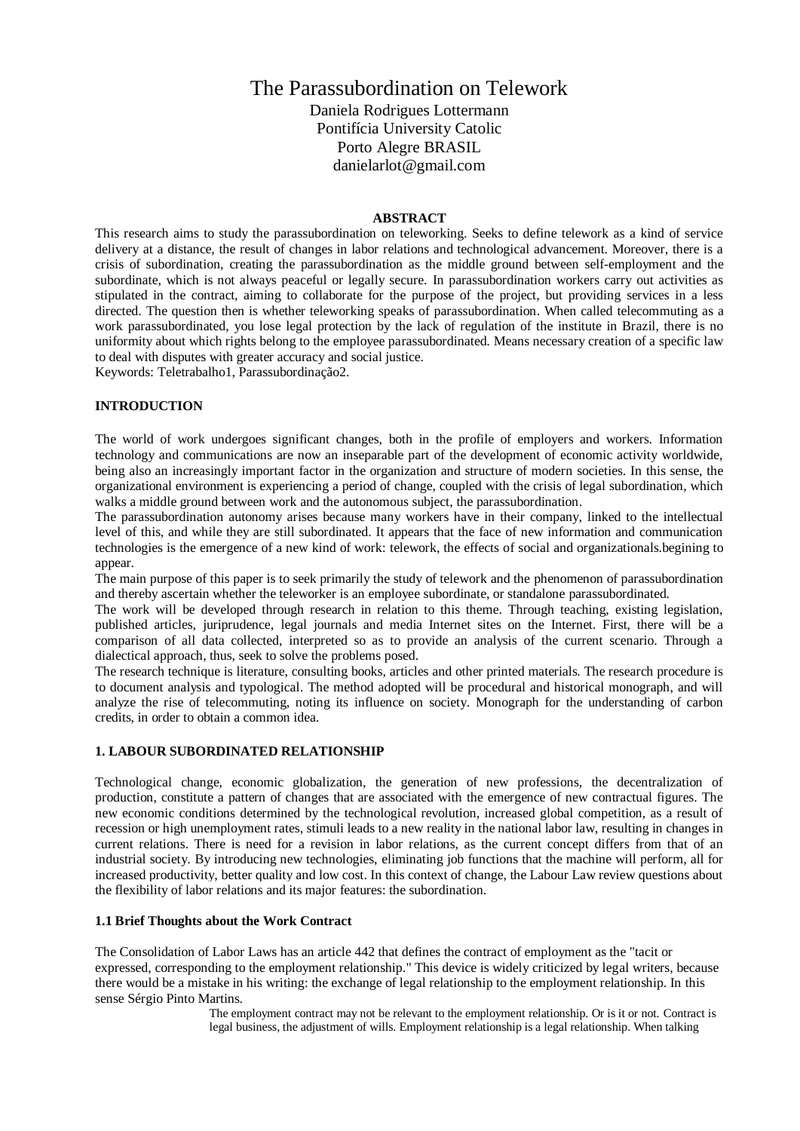# The Parassubordination on Telework

Daniela Rodrigues Lottermann Pontifícia University Catolic Porto Alegre BRASIL danielarlot@gmail.com

## **ABSTRACT**

This research aims to study the parassubordination on teleworking. Seeks to define telework as a kind of service delivery at a distance, the result of changes in labor relations and technological advancement. Moreover, there is a crisis of subordination, creating the parassubordination as the middle ground between self-employment and the subordinate, which is not always peaceful or legally secure. In parassubordination workers carry out activities as stipulated in the contract, aiming to collaborate for the purpose of the project, but providing services in a less directed. The question then is whether teleworking speaks of parassubordination. When called telecommuting as a work parassubordinated, you lose legal protection by the lack of regulation of the institute in Brazil, there is no uniformity about which rights belong to the employee parassubordinated. Means necessary creation of a specific law to deal with disputes with greater accuracy and social justice.

Keywords: Teletrabalho1, Parassubordinação2.

#### **INTRODUCTION**

The world of work undergoes significant changes, both in the profile of employers and workers. Information technology and communications are now an inseparable part of the development of economic activity worldwide, being also an increasingly important factor in the organization and structure of modern societies. In this sense, the organizational environment is experiencing a period of change, coupled with the crisis of legal subordination, which walks a middle ground between work and the autonomous subject, the parassubordination.

The parassubordination autonomy arises because many workers have in their company, linked to the intellectual level of this, and while they are still subordinated. It appears that the face of new information and communication technologies is the emergence of a new kind of work: telework, the effects of social and organizationals.begining to appear.

The main purpose of this paper is to seek primarily the study of telework and the phenomenon of parassubordination and thereby ascertain whether the teleworker is an employee subordinate, or standalone parassubordinated.

The work will be developed through research in relation to this theme. Through teaching, existing legislation, published articles, juriprudence, legal journals and media Internet sites on the Internet. First, there will be a comparison of all data collected, interpreted so as to provide an analysis of the current scenario. Through a dialectical approach, thus, seek to solve the problems posed.

The research technique is literature, consulting books, articles and other printed materials. The research procedure is to document analysis and typological. The method adopted will be procedural and historical monograph, and will analyze the rise of telecommuting, noting its influence on society. Monograph for the understanding of carbon credits, in order to obtain a common idea.

## **1. LABOUR SUBORDINATED RELATIONSHIP**

Technological change, economic globalization, the generation of new professions, the decentralization of production, constitute a pattern of changes that are associated with the emergence of new contractual figures. The new economic conditions determined by the technological revolution, increased global competition, as a result of recession or high unemployment rates, stimuli leads to a new reality in the national labor law, resulting in changes in current relations. There is need for a revision in labor relations, as the current concept differs from that of an industrial society. By introducing new technologies, eliminating job functions that the machine will perform, all for increased productivity, better quality and low cost. In this context of change, the Labour Law review questions about the flexibility of labor relations and its major features: the subordination.

#### **1.1 Brief Thoughts about the Work Contract**

The Consolidation of Labor Laws has an article 442 that defines the contract of employment as the "tacit or expressed, corresponding to the employment relationship." This device is widely criticized by legal writers, because there would be a mistake in his writing: the exchange of legal relationship to the employment relationship. In this sense Sérgio Pinto Martins.

> The employment contract may not be relevant to the employment relationship. Or is it or not. Contract is legal business, the adjustment of wills. Employment relationship is a legal relationship. When talking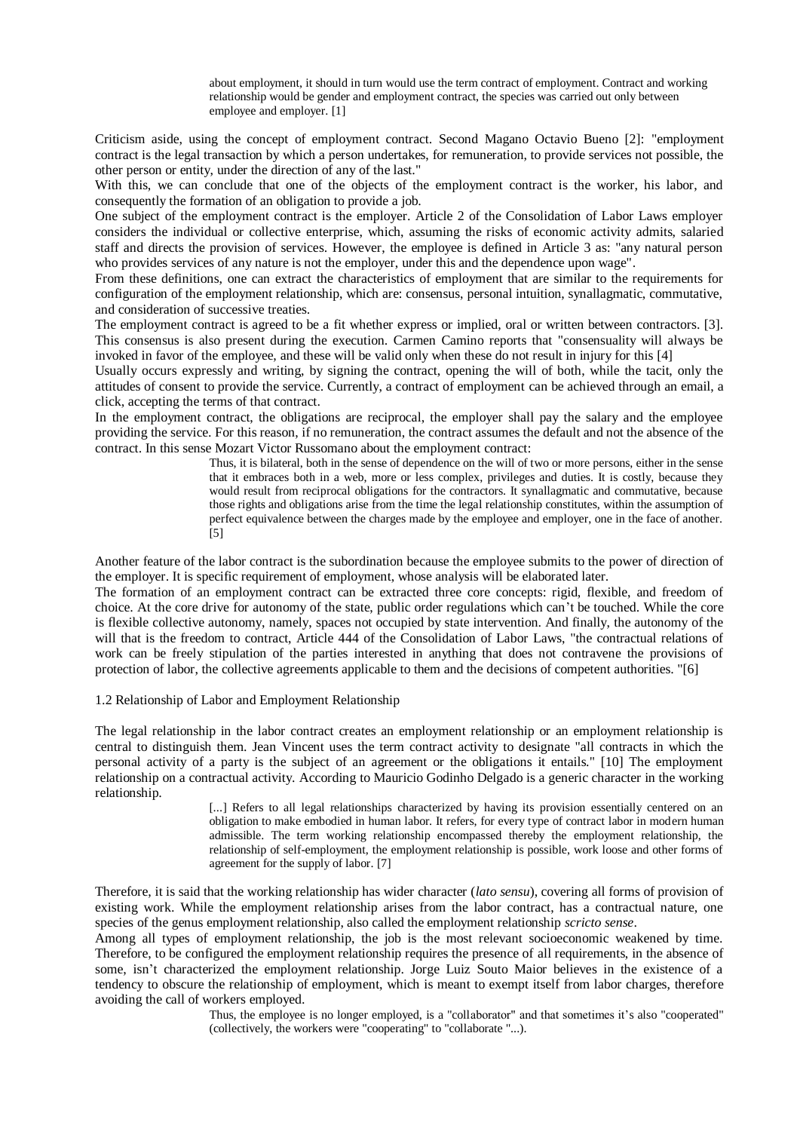about employment, it should in turn would use the term contract of employment. Contract and working relationship would be gender and employment contract, the species was carried out only between employee and employer. [1]

Criticism aside, using the concept of employment contract. Second Magano Octavio Bueno [2]: "employment contract is the legal transaction by which a person undertakes, for remuneration, to provide services not possible, the other person or entity, under the direction of any of the last."

With this, we can conclude that one of the objects of the employment contract is the worker, his labor, and consequently the formation of an obligation to provide a job.

One subject of the employment contract is the employer. Article 2 of the Consolidation of Labor Laws employer considers the individual or collective enterprise, which, assuming the risks of economic activity admits, salaried staff and directs the provision of services. However, the employee is defined in Article 3 as: "any natural person who provides services of any nature is not the employer, under this and the dependence upon wage".

From these definitions, one can extract the characteristics of employment that are similar to the requirements for configuration of the employment relationship, which are: consensus, personal intuition, synallagmatic, commutative, and consideration of successive treaties.

The employment contract is agreed to be a fit whether express or implied, oral or written between contractors. [3]. This consensus is also present during the execution. Carmen Camino reports that "consensuality will always be invoked in favor of the employee, and these will be valid only when these do not result in injury for this [4]

Usually occurs expressly and writing, by signing the contract, opening the will of both, while the tacit, only the attitudes of consent to provide the service. Currently, a contract of employment can be achieved through an email, a click, accepting the terms of that contract.

In the employment contract, the obligations are reciprocal, the employer shall pay the salary and the employee providing the service. For this reason, if no remuneration, the contract assumes the default and not the absence of the contract. In this sense Mozart Victor Russomano about the employment contract:

> Thus, it is bilateral, both in the sense of dependence on the will of two or more persons, either in the sense that it embraces both in a web, more or less complex, privileges and duties. It is costly, because they would result from reciprocal obligations for the contractors. It synallagmatic and commutative, because those rights and obligations arise from the time the legal relationship constitutes, within the assumption of perfect equivalence between the charges made by the employee and employer, one in the face of another. [5]

Another feature of the labor contract is the subordination because the employee submits to the power of direction of the employer. It is specific requirement of employment, whose analysis will be elaborated later.

The formation of an employment contract can be extracted three core concepts: rigid, flexible, and freedom of choice. At the core drive for autonomy of the state, public order regulations which can't be touched. While the core is flexible collective autonomy, namely, spaces not occupied by state intervention. And finally, the autonomy of the will that is the freedom to contract, Article 444 of the Consolidation of Labor Laws, "the contractual relations of work can be freely stipulation of the parties interested in anything that does not contravene the provisions of protection of labor, the collective agreements applicable to them and the decisions of competent authorities. "[6]

1.2 Relationship of Labor and Employment Relationship

The legal relationship in the labor contract creates an employment relationship or an employment relationship is central to distinguish them. Jean Vincent uses the term contract activity to designate "all contracts in which the personal activity of a party is the subject of an agreement or the obligations it entails." [10] The employment relationship on a contractual activity. According to Mauricio Godinho Delgado is a generic character in the working relationship.

> [...] Refers to all legal relationships characterized by having its provision essentially centered on an obligation to make embodied in human labor. It refers, for every type of contract labor in modern human admissible. The term working relationship encompassed thereby the employment relationship, the relationship of self-employment, the employment relationship is possible, work loose and other forms of agreement for the supply of labor. [7]

Therefore, it is said that the working relationship has wider character (*lato sensu*), covering all forms of provision of existing work. While the employment relationship arises from the labor contract, has a contractual nature, one species of the genus employment relationship, also called the employment relationship *scricto sense*.

Among all types of employment relationship, the job is the most relevant socioeconomic weakened by time. Therefore, to be configured the employment relationship requires the presence of all requirements, in the absence of some, isn't characterized the employment relationship. Jorge Luiz Souto Maior believes in the existence of a tendency to obscure the relationship of employment, which is meant to exempt itself from labor charges, therefore avoiding the call of workers employed.

> Thus, the employee is no longer employed, is a "collaborator" and that sometimes it's also "cooperated" (collectively, the workers were "cooperating" to "collaborate "...).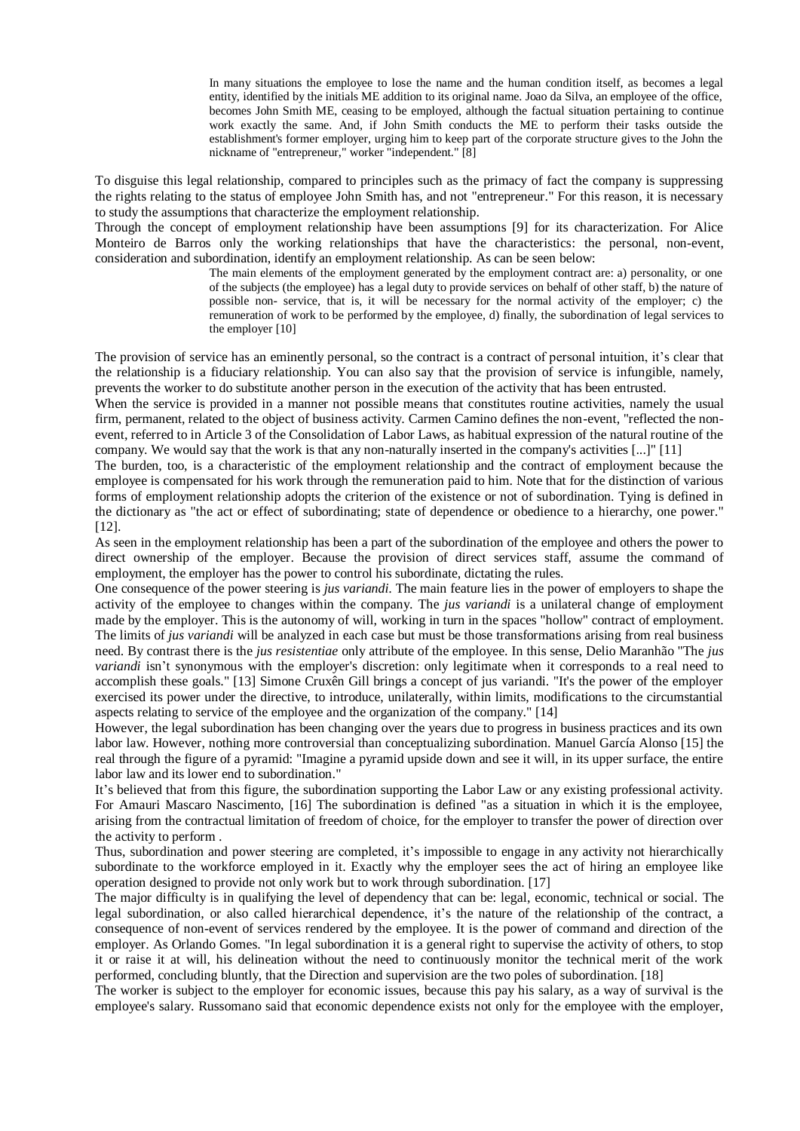In many situations the employee to lose the name and the human condition itself, as becomes a legal entity, identified by the initials ME addition to its original name. Joao da Silva, an employee of the office, becomes John Smith ME, ceasing to be employed, although the factual situation pertaining to continue work exactly the same. And, if John Smith conducts the ME to perform their tasks outside the establishment's former employer, urging him to keep part of the corporate structure gives to the John the nickname of "entrepreneur," worker "independent." [8]

To disguise this legal relationship, compared to principles such as the primacy of fact the company is suppressing the rights relating to the status of employee John Smith has, and not "entrepreneur." For this reason, it is necessary to study the assumptions that characterize the employment relationship.

Through the concept of employment relationship have been assumptions [9] for its characterization. For Alice Monteiro de Barros only the working relationships that have the characteristics: the personal, non-event, consideration and subordination, identify an employment relationship. As can be seen below:

The main elements of the employment generated by the employment contract are: a) personality, or one of the subjects (the employee) has a legal duty to provide services on behalf of other staff, b) the nature of possible non- service, that is, it will be necessary for the normal activity of the employer; c) the remuneration of work to be performed by the employee, d) finally, the subordination of legal services to the employer [10]

The provision of service has an eminently personal, so the contract is a contract of personal intuition, it's clear that the relationship is a fiduciary relationship. You can also say that the provision of service is infungible, namely, prevents the worker to do substitute another person in the execution of the activity that has been entrusted.

When the service is provided in a manner not possible means that constitutes routine activities, namely the usual firm, permanent, related to the object of business activity. Carmen Camino defines the non-event, "reflected the nonevent, referred to in Article 3 of the Consolidation of Labor Laws, as habitual expression of the natural routine of the company. We would say that the work is that any non-naturally inserted in the company's activities [...]" [11]

The burden, too, is a characteristic of the employment relationship and the contract of employment because the employee is compensated for his work through the remuneration paid to him. Note that for the distinction of various forms of employment relationship adopts the criterion of the existence or not of subordination. Tying is defined in the dictionary as "the act or effect of subordinating; state of dependence or obedience to a hierarchy, one power." [12].

As seen in the employment relationship has been a part of the subordination of the employee and others the power to direct ownership of the employer. Because the provision of direct services staff, assume the command of employment, the employer has the power to control his subordinate, dictating the rules.

One consequence of the power steering is *jus variandi*. The main feature lies in the power of employers to shape the activity of the employee to changes within the company. The *jus variandi* is a unilateral change of employment made by the employer. This is the autonomy of will, working in turn in the spaces "hollow" contract of employment. The limits of *jus variandi* will be analyzed in each case but must be those transformations arising from real business need. By contrast there is the *jus resistentiae* only attribute of the employee. In this sense, Delio Maranhão "The *jus variandi* isn't synonymous with the employer's discretion: only legitimate when it corresponds to a real need to accomplish these goals." [13] Simone Cruxên Gill brings a concept of jus variandi. "It's the power of the employer exercised its power under the directive, to introduce, unilaterally, within limits, modifications to the circumstantial aspects relating to service of the employee and the organization of the company." [14]

However, the legal subordination has been changing over the years due to progress in business practices and its own labor law. However, nothing more controversial than conceptualizing subordination. Manuel García Alonso [15] the real through the figure of a pyramid: "Imagine a pyramid upside down and see it will, in its upper surface, the entire labor law and its lower end to subordination."

It's believed that from this figure, the subordination supporting the Labor Law or any existing professional activity. For Amauri Mascaro Nascimento, [16] The subordination is defined "as a situation in which it is the employee, arising from the contractual limitation of freedom of choice, for the employer to transfer the power of direction over the activity to perform .

Thus, subordination and power steering are completed, it's impossible to engage in any activity not hierarchically subordinate to the workforce employed in it. Exactly why the employer sees the act of hiring an employee like operation designed to provide not only work but to work through subordination. [17]

The major difficulty is in qualifying the level of dependency that can be: legal, economic, technical or social. The legal subordination, or also called hierarchical dependence, it's the nature of the relationship of the contract, a consequence of non-event of services rendered by the employee. It is the power of command and direction of the employer. As Orlando Gomes. "In legal subordination it is a general right to supervise the activity of others, to stop it or raise it at will, his delineation without the need to continuously monitor the technical merit of the work performed, concluding bluntly, that the Direction and supervision are the two poles of subordination. [18]

The worker is subject to the employer for economic issues, because this pay his salary, as a way of survival is the employee's salary. Russomano said that economic dependence exists not only for the employee with the employer,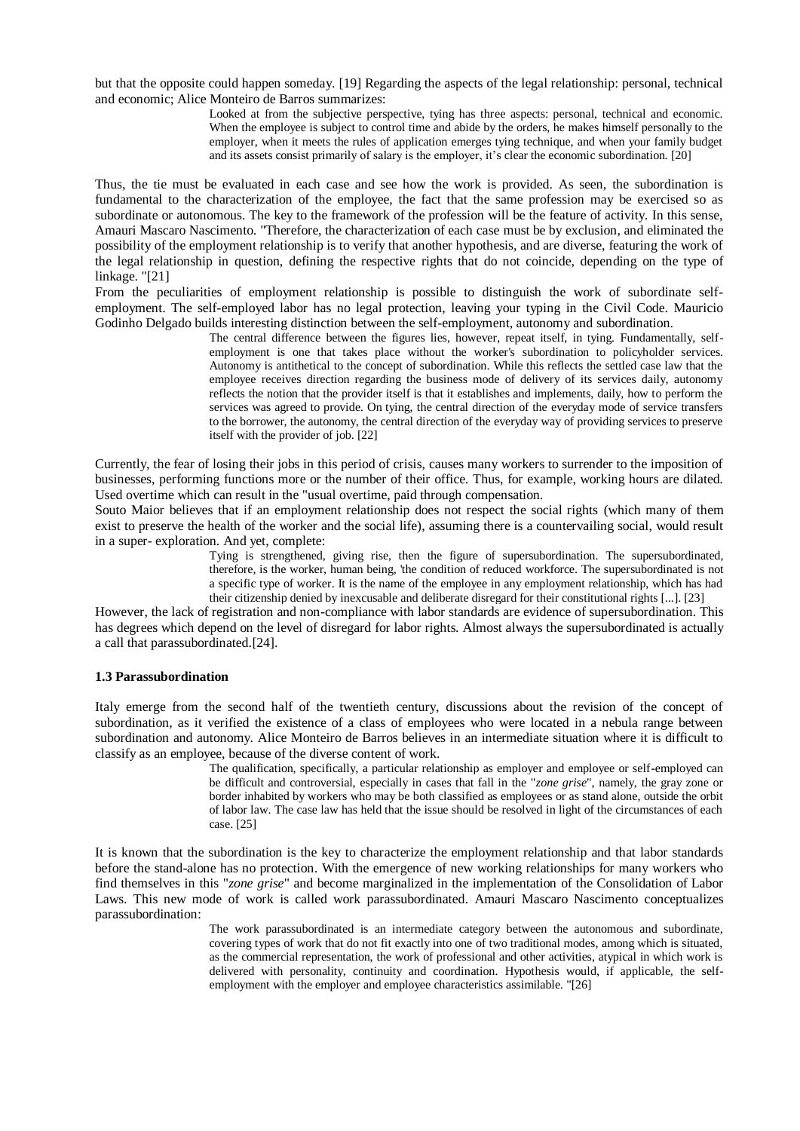but that the opposite could happen someday. [19] Regarding the aspects of the legal relationship: personal, technical and economic; Alice Monteiro de Barros summarizes:

Looked at from the subjective perspective, tying has three aspects: personal, technical and economic. When the employee is subject to control time and abide by the orders, he makes himself personally to the employer, when it meets the rules of application emerges tying technique, and when your family budget and its assets consist primarily of salary is the employer, it's clear the economic subordination. [20]

Thus, the tie must be evaluated in each case and see how the work is provided. As seen, the subordination is fundamental to the characterization of the employee, the fact that the same profession may be exercised so as subordinate or autonomous. The key to the framework of the profession will be the feature of activity. In this sense, Amauri Mascaro Nascimento. "Therefore, the characterization of each case must be by exclusion, and eliminated the possibility of the employment relationship is to verify that another hypothesis, and are diverse, featuring the work of the legal relationship in question, defining the respective rights that do not coincide, depending on the type of linkage. "[21]

From the peculiarities of employment relationship is possible to distinguish the work of subordinate selfemployment. The self-employed labor has no legal protection, leaving your typing in the Civil Code. Mauricio Godinho Delgado builds interesting distinction between the self-employment, autonomy and subordination.

> The central difference between the figures lies, however, repeat itself, in tying. Fundamentally, selfemployment is one that takes place without the worker's subordination to policyholder services. Autonomy is antithetical to the concept of subordination. While this reflects the settled case law that the employee receives direction regarding the business mode of delivery of its services daily, autonomy reflects the notion that the provider itself is that it establishes and implements, daily, how to perform the services was agreed to provide. On tying, the central direction of the everyday mode of service transfers to the borrower, the autonomy, the central direction of the everyday way of providing services to preserve itself with the provider of job. [22]

Currently, the fear of losing their jobs in this period of crisis, causes many workers to surrender to the imposition of businesses, performing functions more or the number of their office. Thus, for example, working hours are dilated. Used overtime which can result in the "usual overtime, paid through compensation.

Souto Maior believes that if an employment relationship does not respect the social rights (which many of them exist to preserve the health of the worker and the social life), assuming there is a countervailing social, would result in a super- exploration. And yet, complete:

> Tying is strengthened, giving rise, then the figure of supersubordination. The supersubordinated, therefore, is the worker, human being, 'the condition of reduced workforce. The supersubordinated is not a specific type of worker. It is the name of the employee in any employment relationship, which has had their citizenship denied by inexcusable and deliberate disregard for their constitutional rights [...]. [23]

However, the lack of registration and non-compliance with labor standards are evidence of supersubordination. This has degrees which depend on the level of disregard for labor rights. Almost always the supersubordinated is actually a call that parassubordinated.[24].

#### **1.3 Parassubordination**

Italy emerge from the second half of the twentieth century, discussions about the revision of the concept of subordination, as it verified the existence of a class of employees who were located in a nebula range between subordination and autonomy. Alice Monteiro de Barros believes in an intermediate situation where it is difficult to classify as an employee, because of the diverse content of work.

> The qualification, specifically, a particular relationship as employer and employee or self-employed can be difficult and controversial, especially in cases that fall in the "*zone grise*", namely, the gray zone or border inhabited by workers who may be both classified as employees or as stand alone, outside the orbit of labor law. The case law has held that the issue should be resolved in light of the circumstances of each case. [25]

It is known that the subordination is the key to characterize the employment relationship and that labor standards before the stand-alone has no protection. With the emergence of new working relationships for many workers who find themselves in this "*zone grise*" and become marginalized in the implementation of the Consolidation of Labor Laws. This new mode of work is called work parassubordinated. Amauri Mascaro Nascimento conceptualizes parassubordination:

> The work parassubordinated is an intermediate category between the autonomous and subordinate, covering types of work that do not fit exactly into one of two traditional modes, among which is situated, as the commercial representation, the work of professional and other activities, atypical in which work is delivered with personality, continuity and coordination. Hypothesis would, if applicable, the selfemployment with the employer and employee characteristics assimilable. "[26]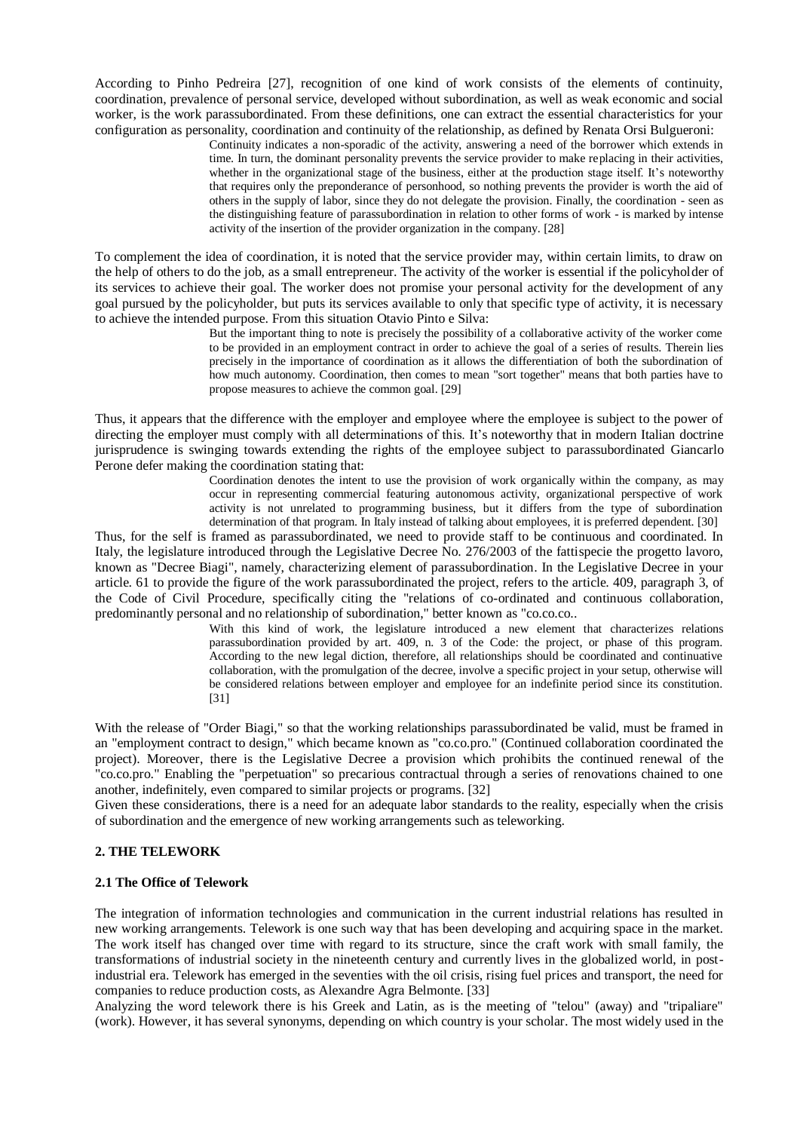According to Pinho Pedreira [27], recognition of one kind of work consists of the elements of continuity, coordination, prevalence of personal service, developed without subordination, as well as weak economic and social worker, is the work parassubordinated. From these definitions, one can extract the essential characteristics for your configuration as personality, coordination and continuity of the relationship, as defined by Renata Orsi Bulgueroni:

> Continuity indicates a non-sporadic of the activity, answering a need of the borrower which extends in time. In turn, the dominant personality prevents the service provider to make replacing in their activities, whether in the organizational stage of the business, either at the production stage itself. It's noteworthy that requires only the preponderance of personhood, so nothing prevents the provider is worth the aid of others in the supply of labor, since they do not delegate the provision. Finally, the coordination - seen as the distinguishing feature of parassubordination in relation to other forms of work - is marked by intense activity of the insertion of the provider organization in the company. [28]

To complement the idea of coordination, it is noted that the service provider may, within certain limits, to draw on the help of others to do the job, as a small entrepreneur. The activity of the worker is essential if the policyholder of its services to achieve their goal. The worker does not promise your personal activity for the development of any goal pursued by the policyholder, but puts its services available to only that specific type of activity, it is necessary to achieve the intended purpose. From this situation Otavio Pinto e Silva:

> But the important thing to note is precisely the possibility of a collaborative activity of the worker come to be provided in an employment contract in order to achieve the goal of a series of results. Therein lies precisely in the importance of coordination as it allows the differentiation of both the subordination of how much autonomy. Coordination, then comes to mean "sort together" means that both parties have to propose measures to achieve the common goal. [29]

Thus, it appears that the difference with the employer and employee where the employee is subject to the power of directing the employer must comply with all determinations of this. It's noteworthy that in modern Italian doctrine jurisprudence is swinging towards extending the rights of the employee subject to parassubordinated Giancarlo Perone defer making the coordination stating that:

> Coordination denotes the intent to use the provision of work organically within the company, as may occur in representing commercial featuring autonomous activity, organizational perspective of work activity is not unrelated to programming business, but it differs from the type of subordination determination of that program. In Italy instead of talking about employees, it is preferred dependent. [30]

Thus, for the self is framed as parassubordinated, we need to provide staff to be continuous and coordinated. In Italy, the legislature introduced through the Legislative Decree No. 276/2003 of the fattispecie the progetto lavoro, known as "Decree Biagi", namely, characterizing element of parassubordination. In the Legislative Decree in your article. 61 to provide the figure of the work parassubordinated the project, refers to the article. 409, paragraph 3, of the Code of Civil Procedure, specifically citing the "relations of co-ordinated and continuous collaboration, predominantly personal and no relationship of subordination," better known as "co.co.co..

> With this kind of work, the legislature introduced a new element that characterizes relations parassubordination provided by art. 409, n. 3 of the Code: the project, or phase of this program. According to the new legal diction, therefore, all relationships should be coordinated and continuative collaboration, with the promulgation of the decree, involve a specific project in your setup, otherwise will be considered relations between employer and employee for an indefinite period since its constitution. [31]

With the release of "Order Biagi," so that the working relationships parassubordinated be valid, must be framed in an "employment contract to design," which became known as "co.co.pro." (Continued collaboration coordinated the project). Moreover, there is the Legislative Decree a provision which prohibits the continued renewal of the "co.co.pro." Enabling the "perpetuation" so precarious contractual through a series of renovations chained to one another, indefinitely, even compared to similar projects or programs. [32]

Given these considerations, there is a need for an adequate labor standards to the reality, especially when the crisis of subordination and the emergence of new working arrangements such as teleworking.

## **2. THE TELEWORK**

#### **2.1 The Office of Telework**

The integration of information technologies and communication in the current industrial relations has resulted in new working arrangements. Telework is one such way that has been developing and acquiring space in the market. The work itself has changed over time with regard to its structure, since the craft work with small family, the transformations of industrial society in the nineteenth century and currently lives in the globalized world, in postindustrial era. Telework has emerged in the seventies with the oil crisis, rising fuel prices and transport, the need for companies to reduce production costs, as Alexandre Agra Belmonte. [33]

Analyzing the word telework there is his Greek and Latin, as is the meeting of "telou" (away) and "tripaliare" (work). However, it has several synonyms, depending on which country is your scholar. The most widely used in the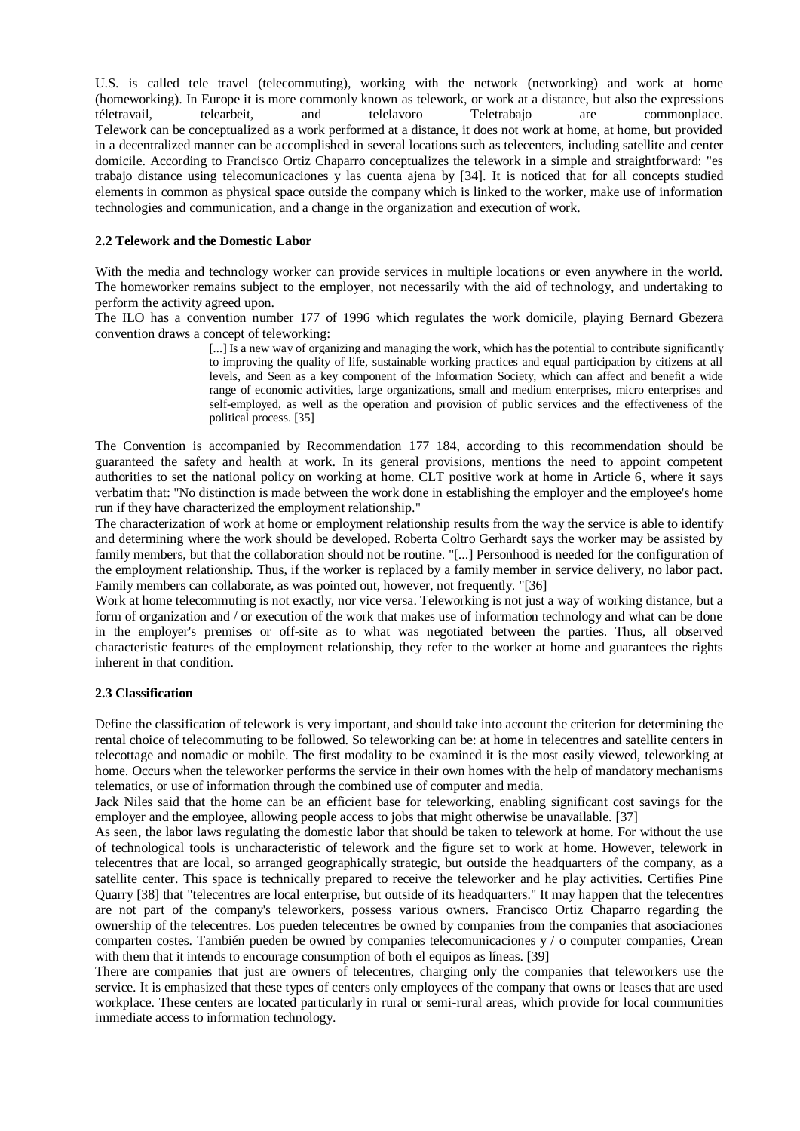U.S. is called tele travel (telecommuting), working with the network (networking) and work at home (homeworking). In Europe it is more commonly known as telework, or work at a distance, but also the expressions téletravail, telearbeit, and telelavoro Teletrabajo are commonplace. Telework can be conceptualized as a work performed at a distance, it does not work at home, at home, but provided in a decentralized manner can be accomplished in several locations such as telecenters, including satellite and center domicile. According to Francisco Ortiz Chaparro conceptualizes the telework in a simple and straightforward: "es trabajo distance using telecomunicaciones y las cuenta ajena by [34]. It is noticed that for all concepts studied elements in common as physical space outside the company which is linked to the worker, make use of information technologies and communication, and a change in the organization and execution of work.

## **2.2 Telework and the Domestic Labor**

With the media and technology worker can provide services in multiple locations or even anywhere in the world. The homeworker remains subject to the employer, not necessarily with the aid of technology, and undertaking to perform the activity agreed upon.

The ILO has a convention number 177 of 1996 which regulates the work domicile, playing Bernard Gbezera convention draws a concept of teleworking:

> [...] Is a new way of organizing and managing the work, which has the potential to contribute significantly to improving the quality of life, sustainable working practices and equal participation by citizens at all levels, and Seen as a key component of the Information Society, which can affect and benefit a wide range of economic activities, large organizations, small and medium enterprises, micro enterprises and self-employed, as well as the operation and provision of public services and the effectiveness of the political process. [35]

The Convention is accompanied by Recommendation 177 184, according to this recommendation should be guaranteed the safety and health at work. In its general provisions, mentions the need to appoint competent authorities to set the national policy on working at home. CLT positive work at home in Article 6, where it says verbatim that: "No distinction is made between the work done in establishing the employer and the employee's home run if they have characterized the employment relationship."

The characterization of work at home or employment relationship results from the way the service is able to identify and determining where the work should be developed. Roberta Coltro Gerhardt says the worker may be assisted by family members, but that the collaboration should not be routine. "[...] Personhood is needed for the configuration of the employment relationship. Thus, if the worker is replaced by a family member in service delivery, no labor pact. Family members can collaborate, as was pointed out, however, not frequently. "[36]

Work at home telecommuting is not exactly, nor vice versa. Teleworking is not just a way of working distance, but a form of organization and / or execution of the work that makes use of information technology and what can be done in the employer's premises or off-site as to what was negotiated between the parties. Thus, all observed characteristic features of the employment relationship, they refer to the worker at home and guarantees the rights inherent in that condition.

## **2.3 Classification**

Define the classification of telework is very important, and should take into account the criterion for determining the rental choice of telecommuting to be followed. So teleworking can be: at home in telecentres and satellite centers in telecottage and nomadic or mobile. The first modality to be examined it is the most easily viewed, teleworking at home. Occurs when the teleworker performs the service in their own homes with the help of mandatory mechanisms telematics, or use of information through the combined use of computer and media.

Jack Niles said that the home can be an efficient base for teleworking, enabling significant cost savings for the employer and the employee, allowing people access to jobs that might otherwise be unavailable. [37]

As seen, the labor laws regulating the domestic labor that should be taken to telework at home. For without the use of technological tools is uncharacteristic of telework and the figure set to work at home. However, telework in telecentres that are local, so arranged geographically strategic, but outside the headquarters of the company, as a satellite center. This space is technically prepared to receive the teleworker and he play activities. Certifies Pine Quarry [38] that "telecentres are local enterprise, but outside of its headquarters." It may happen that the telecentres are not part of the company's teleworkers, possess various owners. Francisco Ortiz Chaparro regarding the ownership of the telecentres. Los pueden telecentres be owned by companies from the companies that asociaciones comparten costes. También pueden be owned by companies telecomunicaciones y / o computer companies, Crean with them that it intends to encourage consumption of both el equipos as líneas. [39]

There are companies that just are owners of telecentres, charging only the companies that teleworkers use the service. It is emphasized that these types of centers only employees of the company that owns or leases that are used workplace. These centers are located particularly in rural or semi-rural areas, which provide for local communities immediate access to information technology.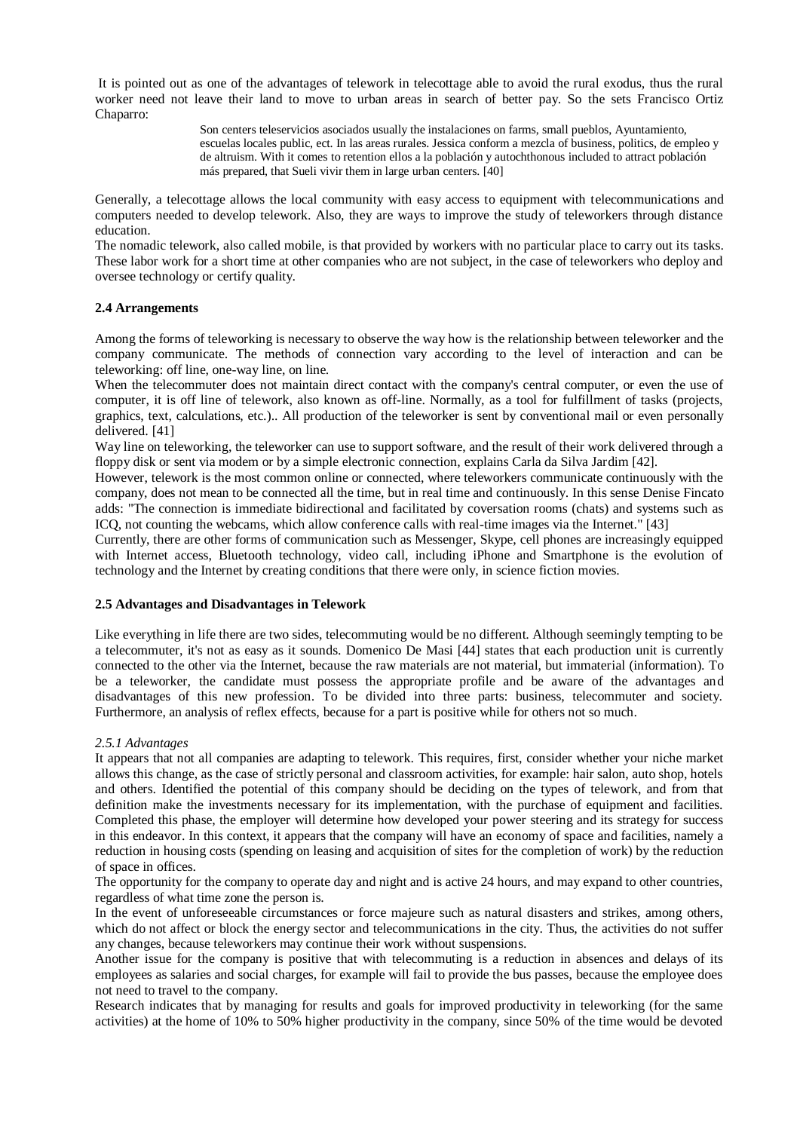It is pointed out as one of the advantages of telework in telecottage able to avoid the rural exodus, thus the rural worker need not leave their land to move to urban areas in search of better pay. So the sets Francisco Ortiz Chaparro:

> Son centers teleservicios asociados usually the instalaciones on farms, small pueblos, Ayuntamiento, escuelas locales public, ect. In las areas rurales. Jessica conform a mezcla of business, politics, de empleo y de altruism. With it comes to retention ellos a la población y autochthonous included to attract población más prepared, that Sueli vivir them in large urban centers. [40]

Generally, a telecottage allows the local community with easy access to equipment with telecommunications and computers needed to develop telework. Also, they are ways to improve the study of teleworkers through distance education.

The nomadic telework, also called mobile, is that provided by workers with no particular place to carry out its tasks. These labor work for a short time at other companies who are not subject, in the case of teleworkers who deploy and oversee technology or certify quality.

## **2.4 Arrangements**

Among the forms of teleworking is necessary to observe the way how is the relationship between teleworker and the company communicate. The methods of connection vary according to the level of interaction and can be teleworking: off line, one-way line, on line.

When the telecommuter does not maintain direct contact with the company's central computer, or even the use of computer, it is off line of telework, also known as off-line. Normally, as a tool for fulfillment of tasks (projects, graphics, text, calculations, etc.).. All production of the teleworker is sent by conventional mail or even personally delivered. [41]

Way line on teleworking, the teleworker can use to support software, and the result of their work delivered through a floppy disk or sent via modem or by a simple electronic connection, explains Carla da Silva Jardim [42].

However, telework is the most common online or connected, where teleworkers communicate continuously with the company, does not mean to be connected all the time, but in real time and continuously. In this sense Denise Fincato adds: "The connection is immediate bidirectional and facilitated by coversation rooms (chats) and systems such as ICQ, not counting the webcams, which allow conference calls with real-time images via the Internet." [43]

Currently, there are other forms of communication such as Messenger, Skype, cell phones are increasingly equipped with Internet access, Bluetooth technology, video call, including iPhone and Smartphone is the evolution of technology and the Internet by creating conditions that there were only, in science fiction movies.

## **2.5 Advantages and Disadvantages in Telework**

Like everything in life there are two sides, telecommuting would be no different. Although seemingly tempting to be a telecommuter, it's not as easy as it sounds. Domenico De Masi [44] states that each production unit is currently connected to the other via the Internet, because the raw materials are not material, but immaterial (information). To be a teleworker, the candidate must possess the appropriate profile and be aware of the advantages and disadvantages of this new profession. To be divided into three parts: business, telecommuter and society. Furthermore, an analysis of reflex effects, because for a part is positive while for others not so much.

## *2.5.1 Advantages*

It appears that not all companies are adapting to telework. This requires, first, consider whether your niche market allows this change, as the case of strictly personal and classroom activities, for example: hair salon, auto shop, hotels and others. Identified the potential of this company should be deciding on the types of telework, and from that definition make the investments necessary for its implementation, with the purchase of equipment and facilities. Completed this phase, the employer will determine how developed your power steering and its strategy for success in this endeavor. In this context, it appears that the company will have an economy of space and facilities, namely a reduction in housing costs (spending on leasing and acquisition of sites for the completion of work) by the reduction of space in offices.

The opportunity for the company to operate day and night and is active 24 hours, and may expand to other countries, regardless of what time zone the person is.

In the event of unforeseeable circumstances or force majeure such as natural disasters and strikes, among others, which do not affect or block the energy sector and telecommunications in the city. Thus, the activities do not suffer any changes, because teleworkers may continue their work without suspensions.

Another issue for the company is positive that with telecommuting is a reduction in absences and delays of its employees as salaries and social charges, for example will fail to provide the bus passes, because the employee does not need to travel to the company.

Research indicates that by managing for results and goals for improved productivity in teleworking (for the same activities) at the home of 10% to 50% higher productivity in the company, since 50% of the time would be devoted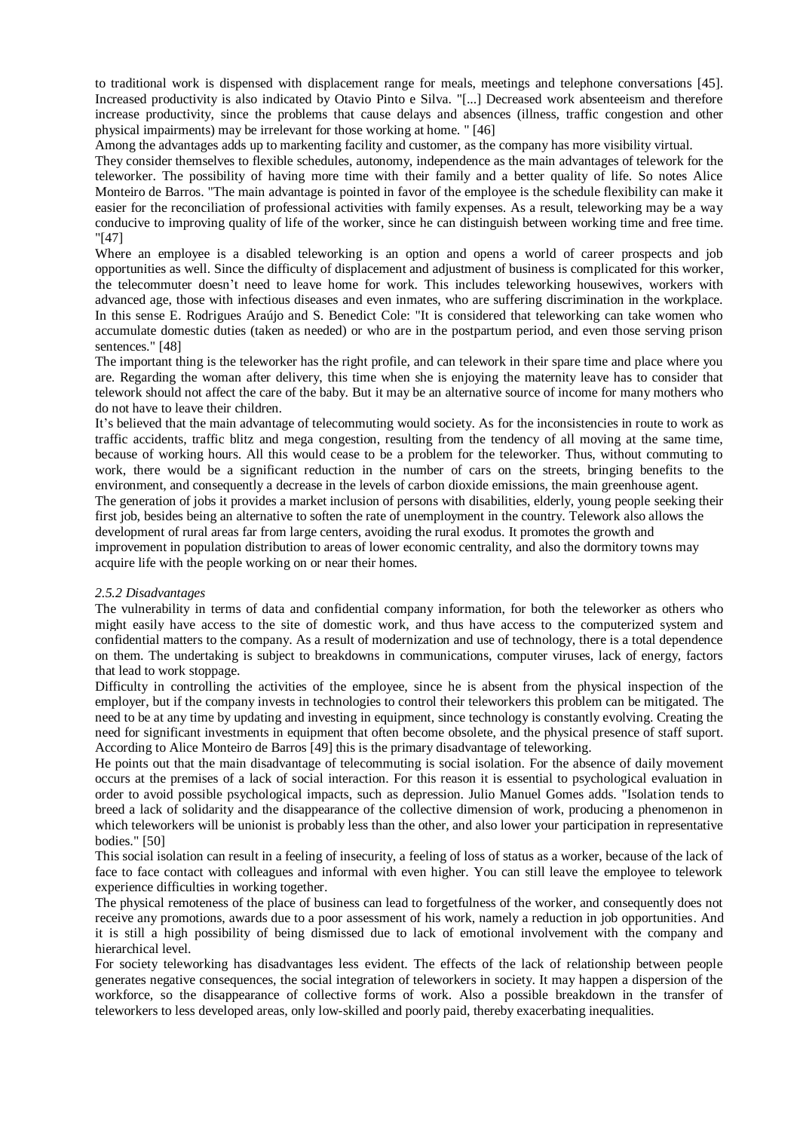to traditional work is dispensed with displacement range for meals, meetings and telephone conversations [45]. Increased productivity is also indicated by Otavio Pinto e Silva. "[...] Decreased work absenteeism and therefore increase productivity, since the problems that cause delays and absences (illness, traffic congestion and other physical impairments) may be irrelevant for those working at home. " [46]

Among the advantages adds up to markenting facility and customer, as the company has more visibility virtual.

They consider themselves to flexible schedules, autonomy, independence as the main advantages of telework for the teleworker. The possibility of having more time with their family and a better quality of life. So notes Alice Monteiro de Barros. "The main advantage is pointed in favor of the employee is the schedule flexibility can make it easier for the reconciliation of professional activities with family expenses. As a result, teleworking may be a way conducive to improving quality of life of the worker, since he can distinguish between working time and free time. "[47]

Where an employee is a disabled teleworking is an option and opens a world of career prospects and job opportunities as well. Since the difficulty of displacement and adjustment of business is complicated for this worker, the telecommuter doesn't need to leave home for work. This includes teleworking housewives, workers with advanced age, those with infectious diseases and even inmates, who are suffering discrimination in the workplace. In this sense E. Rodrigues Araújo and S. Benedict Cole: "It is considered that teleworking can take women who accumulate domestic duties (taken as needed) or who are in the postpartum period, and even those serving prison sentences." [48]

The important thing is the teleworker has the right profile, and can telework in their spare time and place where you are. Regarding the woman after delivery, this time when she is enjoying the maternity leave has to consider that telework should not affect the care of the baby. But it may be an alternative source of income for many mothers who do not have to leave their children.

It's believed that the main advantage of telecommuting would society. As for the inconsistencies in route to work as traffic accidents, traffic blitz and mega congestion, resulting from the tendency of all moving at the same time, because of working hours. All this would cease to be a problem for the teleworker. Thus, without commuting to work, there would be a significant reduction in the number of cars on the streets, bringing benefits to the environment, and consequently a decrease in the levels of carbon dioxide emissions, the main greenhouse agent. The generation of jobs it provides a market inclusion of persons with disabilities, elderly, young people seeking their first job, besides being an alternative to soften the rate of unemployment in the country. Telework also allows the development of rural areas far from large centers, avoiding the rural exodus. It promotes the growth and

improvement in population distribution to areas of lower economic centrality, and also the dormitory towns may acquire life with the people working on or near their homes.

## *2.5.2 Disadvantages*

The vulnerability in terms of data and confidential company information, for both the teleworker as others who might easily have access to the site of domestic work, and thus have access to the computerized system and confidential matters to the company. As a result of modernization and use of technology, there is a total dependence on them. The undertaking is subject to breakdowns in communications, computer viruses, lack of energy, factors that lead to work stoppage.

Difficulty in controlling the activities of the employee, since he is absent from the physical inspection of the employer, but if the company invests in technologies to control their teleworkers this problem can be mitigated. The need to be at any time by updating and investing in equipment, since technology is constantly evolving. Creating the need for significant investments in equipment that often become obsolete, and the physical presence of staff suport. According to Alice Monteiro de Barros [49] this is the primary disadvantage of teleworking.

He points out that the main disadvantage of telecommuting is social isolation. For the absence of daily movement occurs at the premises of a lack of social interaction. For this reason it is essential to psychological evaluation in order to avoid possible psychological impacts, such as depression. Julio Manuel Gomes adds. "Isolation tends to breed a lack of solidarity and the disappearance of the collective dimension of work, producing a phenomenon in which teleworkers will be unionist is probably less than the other, and also lower your participation in representative bodies." [50]

This social isolation can result in a feeling of insecurity, a feeling of loss of status as a worker, because of the lack of face to face contact with colleagues and informal with even higher. You can still leave the employee to telework experience difficulties in working together.

The physical remoteness of the place of business can lead to forgetfulness of the worker, and consequently does not receive any promotions, awards due to a poor assessment of his work, namely a reduction in job opportunities. And it is still a high possibility of being dismissed due to lack of emotional involvement with the company and hierarchical level.

For society teleworking has disadvantages less evident. The effects of the lack of relationship between people generates negative consequences, the social integration of teleworkers in society. It may happen a dispersion of the workforce, so the disappearance of collective forms of work. Also a possible breakdown in the transfer of teleworkers to less developed areas, only low-skilled and poorly paid, thereby exacerbating inequalities.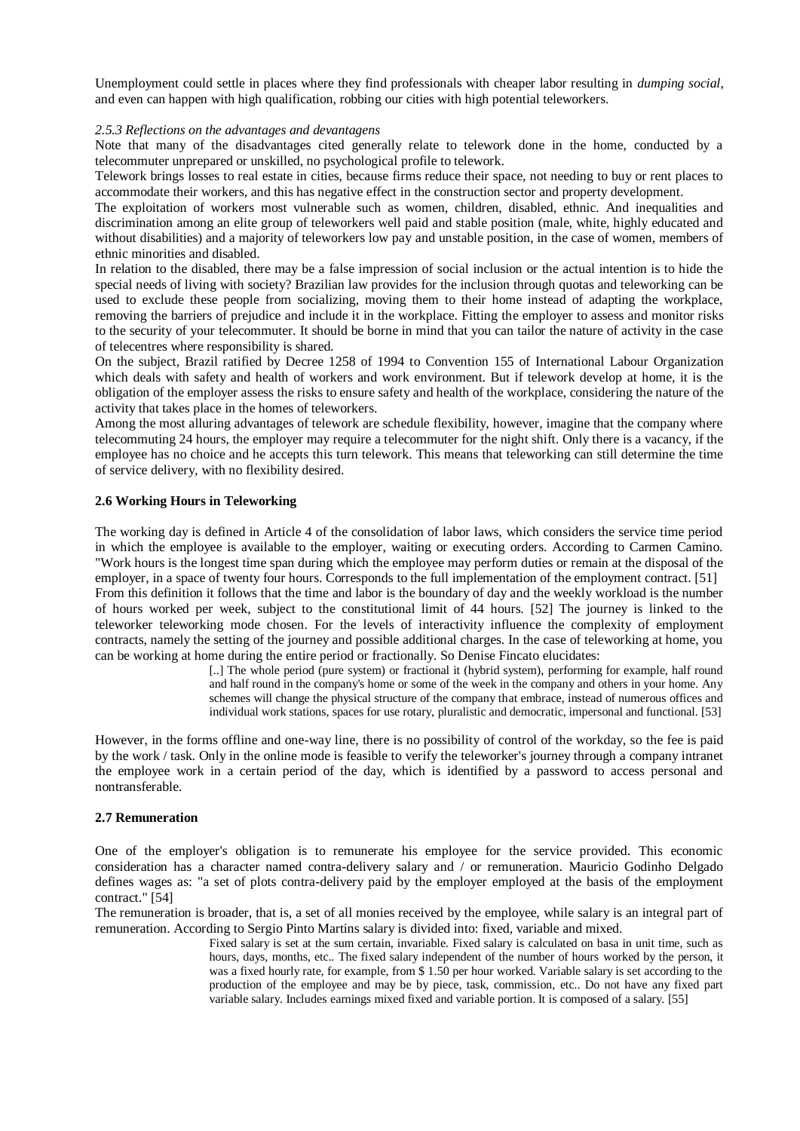Unemployment could settle in places where they find professionals with cheaper labor resulting in *dumping social*, and even can happen with high qualification, robbing our cities with high potential teleworkers.

#### *2.5.3 Reflections on the advantages and devantagens*

Note that many of the disadvantages cited generally relate to telework done in the home, conducted by a telecommuter unprepared or unskilled, no psychological profile to telework.

Telework brings losses to real estate in cities, because firms reduce their space, not needing to buy or rent places to accommodate their workers, and this has negative effect in the construction sector and property development.

The exploitation of workers most vulnerable such as women, children, disabled, ethnic. And inequalities and discrimination among an elite group of teleworkers well paid and stable position (male, white, highly educated and without disabilities) and a majority of teleworkers low pay and unstable position, in the case of women, members of ethnic minorities and disabled.

In relation to the disabled, there may be a false impression of social inclusion or the actual intention is to hide the special needs of living with society? Brazilian law provides for the inclusion through quotas and teleworking can be used to exclude these people from socializing, moving them to their home instead of adapting the workplace, removing the barriers of prejudice and include it in the workplace. Fitting the employer to assess and monitor risks to the security of your telecommuter. It should be borne in mind that you can tailor the nature of activity in the case of telecentres where responsibility is shared.

On the subject, Brazil ratified by Decree 1258 of 1994 to Convention 155 of International Labour Organization which deals with safety and health of workers and work environment. But if telework develop at home, it is the obligation of the employer assess the risks to ensure safety and health of the workplace, considering the nature of the activity that takes place in the homes of teleworkers.

Among the most alluring advantages of telework are schedule flexibility, however, imagine that the company where telecommuting 24 hours, the employer may require a telecommuter for the night shift. Only there is a vacancy, if the employee has no choice and he accepts this turn telework. This means that teleworking can still determine the time of service delivery, with no flexibility desired.

#### **2.6 Working Hours in Teleworking**

The working day is defined in Article 4 of the consolidation of labor laws, which considers the service time period in which the employee is available to the employer, waiting or executing orders. According to Carmen Camino. "Work hours is the longest time span during which the employee may perform duties or remain at the disposal of the employer, in a space of twenty four hours. Corresponds to the full implementation of the employment contract. [51] From this definition it follows that the time and labor is the boundary of day and the weekly workload is the number of hours worked per week, subject to the constitutional limit of 44 hours. [52] The journey is linked to the teleworker teleworking mode chosen. For the levels of interactivity influence the complexity of employment contracts, namely the setting of the journey and possible additional charges. In the case of teleworking at home, you can be working at home during the entire period or fractionally. So Denise Fincato elucidates:

> [..] The whole period (pure system) or fractional it (hybrid system), performing for example, half round and half round in the company's home or some of the week in the company and others in your home. Any schemes will change the physical structure of the company that embrace, instead of numerous offices and individual work stations, spaces for use rotary, pluralistic and democratic, impersonal and functional. [53]

However, in the forms offline and one-way line, there is no possibility of control of the workday, so the fee is paid by the work / task. Only in the online mode is feasible to verify the teleworker's journey through a company intranet the employee work in a certain period of the day, which is identified by a password to access personal and nontransferable.

#### **2.7 Remuneration**

One of the employer's obligation is to remunerate his employee for the service provided. This economic consideration has a character named contra-delivery salary and / or remuneration. Mauricio Godinho Delgado defines wages as: "a set of plots contra-delivery paid by the employer employed at the basis of the employment contract." [54]

The remuneration is broader, that is, a set of all monies received by the employee, while salary is an integral part of remuneration. According to Sergio Pinto Martins salary is divided into: fixed, variable and mixed.

Fixed salary is set at the sum certain, invariable. Fixed salary is calculated on basa in unit time, such as hours, days, months, etc.. The fixed salary independent of the number of hours worked by the person, it was a fixed hourly rate, for example, from \$ 1.50 per hour worked. Variable salary is set according to the production of the employee and may be by piece, task, commission, etc.. Do not have any fixed part variable salary. Includes earnings mixed fixed and variable portion. It is composed of a salary. [55]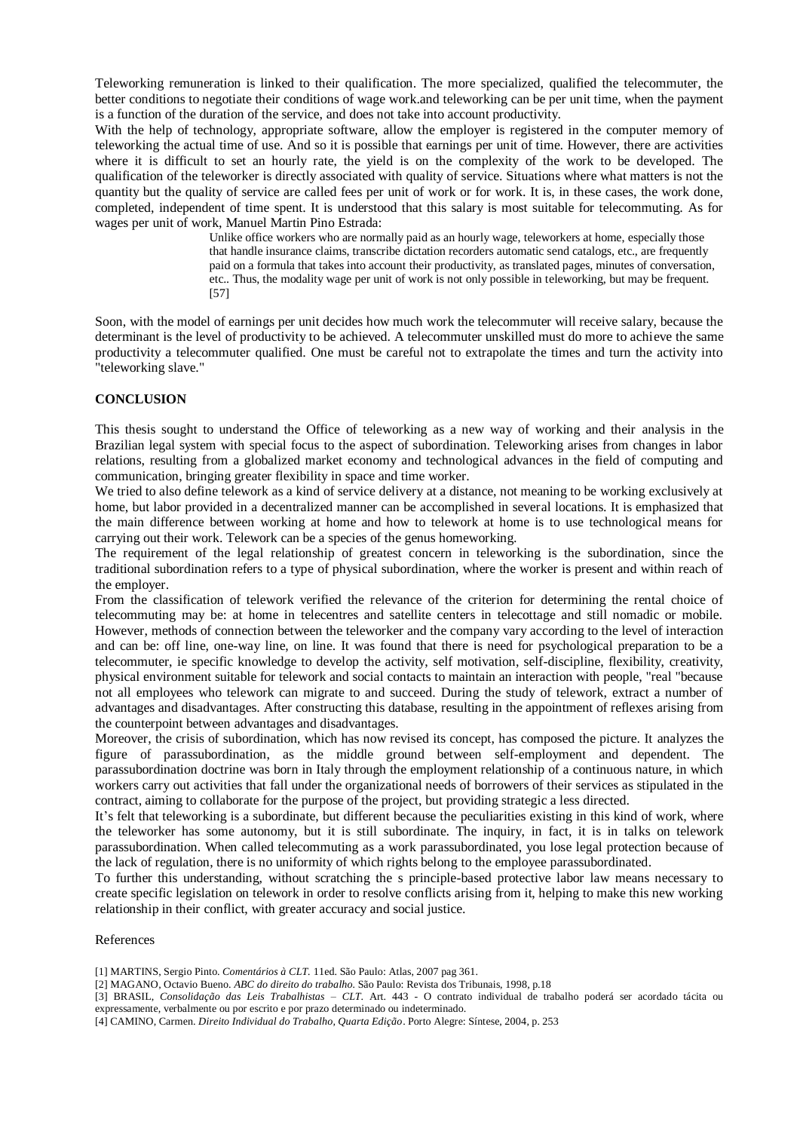Teleworking remuneration is linked to their qualification. The more specialized, qualified the telecommuter, the better conditions to negotiate their conditions of wage work.and teleworking can be per unit time, when the payment is a function of the duration of the service, and does not take into account productivity.

With the help of technology, appropriate software, allow the employer is registered in the computer memory of teleworking the actual time of use. And so it is possible that earnings per unit of time. However, there are activities where it is difficult to set an hourly rate, the yield is on the complexity of the work to be developed. The qualification of the teleworker is directly associated with quality of service. Situations where what matters is not the quantity but the quality of service are called fees per unit of work or for work. It is, in these cases, the work done, completed, independent of time spent. It is understood that this salary is most suitable for telecommuting. As for wages per unit of work, Manuel Martin Pino Estrada:

> Unlike office workers who are normally paid as an hourly wage, teleworkers at home, especially those that handle insurance claims, transcribe dictation recorders automatic send catalogs, etc., are frequently paid on a formula that takes into account their productivity, as translated pages, minutes of conversation, etc.. Thus, the modality wage per unit of work is not only possible in teleworking, but may be frequent. [57]

Soon, with the model of earnings per unit decides how much work the telecommuter will receive salary, because the determinant is the level of productivity to be achieved. A telecommuter unskilled must do more to achieve the same productivity a telecommuter qualified. One must be careful not to extrapolate the times and turn the activity into "teleworking slave."

#### **CONCLUSION**

This thesis sought to understand the Office of teleworking as a new way of working and their analysis in the Brazilian legal system with special focus to the aspect of subordination. Teleworking arises from changes in labor relations, resulting from a globalized market economy and technological advances in the field of computing and communication, bringing greater flexibility in space and time worker.

We tried to also define telework as a kind of service delivery at a distance, not meaning to be working exclusively at home, but labor provided in a decentralized manner can be accomplished in several locations. It is emphasized that the main difference between working at home and how to telework at home is to use technological means for carrying out their work. Telework can be a species of the genus homeworking.

The requirement of the legal relationship of greatest concern in teleworking is the subordination, since the traditional subordination refers to a type of physical subordination, where the worker is present and within reach of the employer.

From the classification of telework verified the relevance of the criterion for determining the rental choice of telecommuting may be: at home in telecentres and satellite centers in telecottage and still nomadic or mobile. However, methods of connection between the teleworker and the company vary according to the level of interaction and can be: off line, one-way line, on line. It was found that there is need for psychological preparation to be a telecommuter, ie specific knowledge to develop the activity, self motivation, self-discipline, flexibility, creativity, physical environment suitable for telework and social contacts to maintain an interaction with people, "real "because not all employees who telework can migrate to and succeed. During the study of telework, extract a number of advantages and disadvantages. After constructing this database, resulting in the appointment of reflexes arising from the counterpoint between advantages and disadvantages.

Moreover, the crisis of subordination, which has now revised its concept, has composed the picture. It analyzes the figure of parassubordination, as the middle ground between self-employment and dependent. The parassubordination doctrine was born in Italy through the employment relationship of a continuous nature, in which workers carry out activities that fall under the organizational needs of borrowers of their services as stipulated in the contract, aiming to collaborate for the purpose of the project, but providing strategic a less directed.

It's felt that teleworking is a subordinate, but different because the peculiarities existing in this kind of work, where the teleworker has some autonomy, but it is still subordinate. The inquiry, in fact, it is in talks on telework parassubordination. When called telecommuting as a work parassubordinated, you lose legal protection because of the lack of regulation, there is no uniformity of which rights belong to the employee parassubordinated.

To further this understanding, without scratching the s principle-based protective labor law means necessary to create specific legislation on telework in order to resolve conflicts arising from it, helping to make this new working relationship in their conflict, with greater accuracy and social justice.

#### References

[\[1\]](http://sn143w.snt143.mail.live.com/mail/RteFrame_15.1.3059.0405.html?pf=pf) MARTINS, Sergio Pinto. *Comentários à CLT.* 11ed. São Paulo: Atlas, 2007 pag 361.

[\[2\]](http://sn143w.snt143.mail.live.com/mail/RteFrame_15.1.3059.0405.html?pf=pf) MAGANO, Octavio Bueno. *ABC do direito do trabalho.* São Paulo: Revista dos Tribunais, 1998, p.18

[<sup>\[3\]</sup>](http://sn143w.snt143.mail.live.com/mail/RteFrame_15.1.3059.0405.html?pf=pf) BRASIL, *Consolidação das Leis Trabalhistas – CLT*. Art. 443 - O contrato individual de trabalho poderá ser acordado tácita ou expressamente, verbalmente ou por escrito e por prazo determinado ou indeterminado.

[<sup>\[4\]</sup>](http://sn143w.snt143.mail.live.com/mail/RteFrame_15.1.3059.0405.html?pf=pf) CAMINO, Carmen. *Direito Individual do Trabalho, Quarta Edição*. Porto Alegre: Síntese, 2004, p. 253